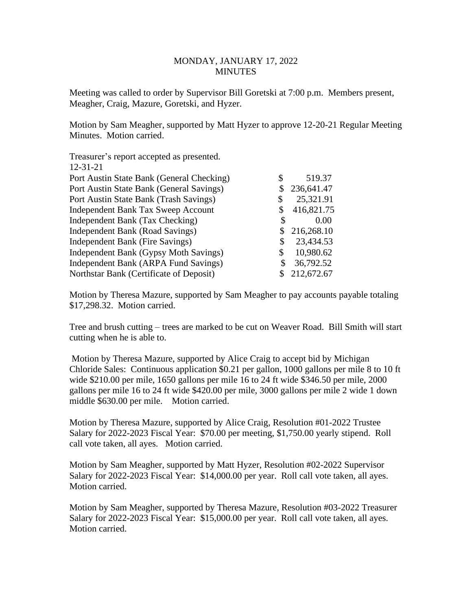## MONDAY, JANUARY 17, 2022 **MINUTES**

Meeting was called to order by Supervisor Bill Goretski at 7:00 p.m. Members present, Meagher, Craig, Mazure, Goretski, and Hyzer.

Motion by Sam Meagher, supported by Matt Hyzer to approve 12-20-21 Regular Meeting Minutes. Motion carried.

| Treasurer's report accepted as presented. |                  |
|-------------------------------------------|------------------|
| $12 - 31 - 21$                            |                  |
| Port Austin State Bank (General Checking) | 519.37           |
| Port Austin State Bank (General Savings)  | \$<br>236,641.47 |
| Port Austin State Bank (Trash Savings)    | \$<br>25,321.91  |
| Independent Bank Tax Sweep Account        | 416,821.75       |
| Independent Bank (Tax Checking)           | 0.00             |
| Independent Bank (Road Savings)           | 216,268.10       |
| Independent Bank (Fire Savings)           | \$<br>23,434.53  |
| Independent Bank (Gypsy Moth Savings)     | \$<br>10,980.62  |
| Independent Bank (ARPA Fund Savings)      | \$<br>36,792.52  |
| Northstar Bank (Certificate of Deposit)   | 212,672.67       |

Motion by Theresa Mazure, supported by Sam Meagher to pay accounts payable totaling \$17,298.32. Motion carried.

Tree and brush cutting – trees are marked to be cut on Weaver Road. Bill Smith will start cutting when he is able to.

Motion by Theresa Mazure, supported by Alice Craig to accept bid by Michigan Chloride Sales: Continuous application \$0.21 per gallon, 1000 gallons per mile 8 to 10 ft wide \$210.00 per mile, 1650 gallons per mile 16 to 24 ft wide \$346.50 per mile, 2000 gallons per mile 16 to 24 ft wide \$420.00 per mile, 3000 gallons per mile 2 wide 1 down middle \$630.00 per mile. Motion carried.

Motion by Theresa Mazure, supported by Alice Craig, Resolution #01-2022 Trustee Salary for 2022-2023 Fiscal Year: \$70.00 per meeting, \$1,750.00 yearly stipend. Roll call vote taken, all ayes. Motion carried.

Motion by Sam Meagher, supported by Matt Hyzer, Resolution #02-2022 Supervisor Salary for 2022-2023 Fiscal Year: \$14,000.00 per year. Roll call vote taken, all ayes. Motion carried.

Motion by Sam Meagher, supported by Theresa Mazure, Resolution #03-2022 Treasurer Salary for 2022-2023 Fiscal Year: \$15,000.00 per year. Roll call vote taken, all ayes. Motion carried.